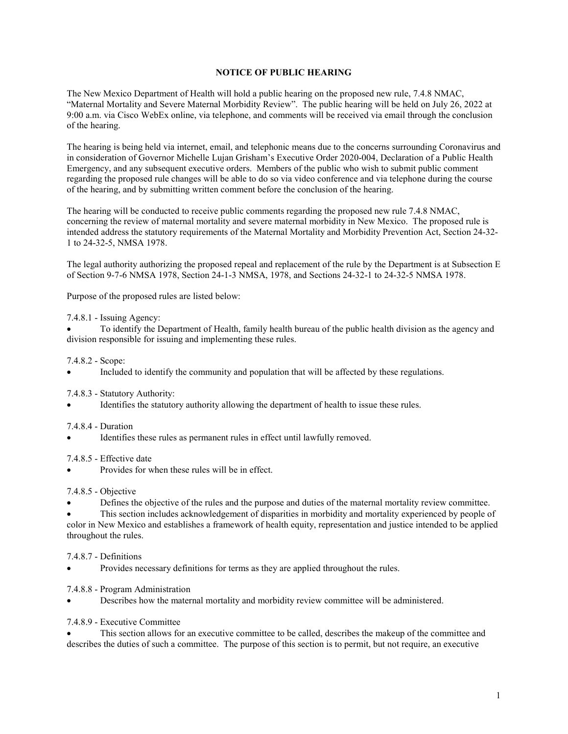# **NOTICE OF PUBLIC HEARING**

The New Mexico Department of Health will hold a public hearing on the proposed new rule, 7.4.8 NMAC, "Maternal Mortality and Severe Maternal Morbidity Review". The public hearing will be held on July 26, 2022 at 9:00 a.m. via Cisco WebEx online, via telephone, and comments will be received via email through the conclusion of the hearing.

The hearing is being held via internet, email, and telephonic means due to the concerns surrounding Coronavirus and in consideration of Governor Michelle Lujan Grisham's Executive Order 2020-004, Declaration of a Public Health Emergency, and any subsequent executive orders. Members of the public who wish to submit public comment regarding the proposed rule changes will be able to do so via video conference and via telephone during the course of the hearing, and by submitting written comment before the conclusion of the hearing.

The hearing will be conducted to receive public comments regarding the proposed new rule 7.4.8 NMAC, concerning the review of maternal mortality and severe maternal morbidity in New Mexico. The proposed rule is intended address the statutory requirements of the Maternal Mortality and Morbidity Prevention Act, Section 24-32- 1 to 24-32-5, NMSA 1978.

The legal authority authorizing the proposed repeal and replacement of the rule by the Department is at Subsection E of Section 9-7-6 NMSA 1978, Section 24-1-3 NMSA, 1978, and Sections 24-32-1 to 24-32-5 NMSA 1978.

Purpose of the proposed rules are listed below:

#### 7.4.8.1 - Issuing Agency:

• To identify the Department of Health, family health bureau of the public health division as the agency and division responsible for issuing and implementing these rules.

### 7.4.8.2 - Scope:

• Included to identify the community and population that will be affected by these regulations.

#### 7.4.8.3 - Statutory Authority:

Identifies the statutory authority allowing the department of health to issue these rules.

#### 7.4.8.4 - Duration

Identifies these rules as permanent rules in effect until lawfully removed.

### 7.4.8.5 - Effective date

Provides for when these rules will be in effect.

#### 7.4.8.5 - Objective

• Defines the objective of the rules and the purpose and duties of the maternal mortality review committee.

• This section includes acknowledgement of disparities in morbidity and mortality experienced by people of color in New Mexico and establishes a framework of health equity, representation and justice intended to be applied throughout the rules.

#### 7.4.8.7 - Definitions

• Provides necessary definitions for terms as they are applied throughout the rules.

#### 7.4.8.8 - Program Administration

- Describes how the maternal mortality and morbidity review committee will be administered.
- 7.4.8.9 Executive Committee

• This section allows for an executive committee to be called, describes the makeup of the committee and describes the duties of such a committee. The purpose of this section is to permit, but not require, an executive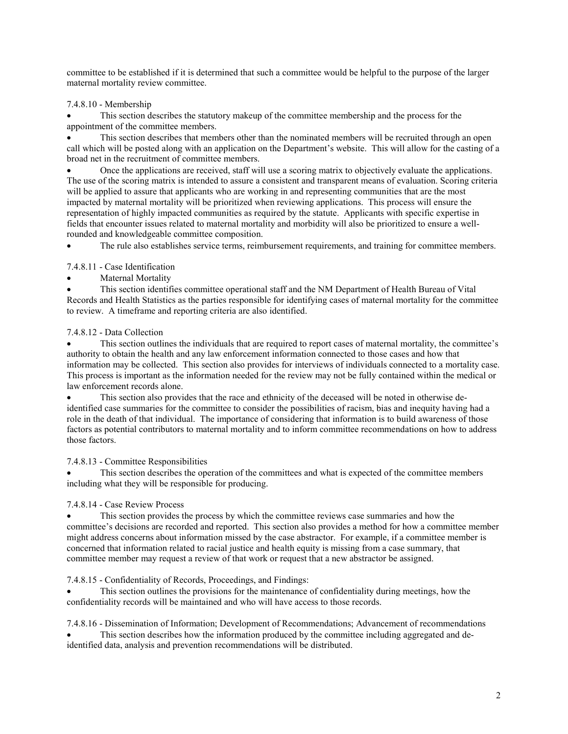committee to be established if it is determined that such a committee would be helpful to the purpose of the larger maternal mortality review committee.

# 7.4.8.10 - Membership

• This section describes the statutory makeup of the committee membership and the process for the appointment of the committee members.

This section describes that members other than the nominated members will be recruited through an open call which will be posted along with an application on the Department's website. This will allow for the casting of a broad net in the recruitment of committee members.

• Once the applications are received, staff will use a scoring matrix to objectively evaluate the applications. The use of the scoring matrix is intended to assure a consistent and transparent means of evaluation. Scoring criteria will be applied to assure that applicants who are working in and representing communities that are the most impacted by maternal mortality will be prioritized when reviewing applications. This process will ensure the representation of highly impacted communities as required by the statute. Applicants with specific expertise in fields that encounter issues related to maternal mortality and morbidity will also be prioritized to ensure a wellrounded and knowledgeable committee composition.

The rule also establishes service terms, reimbursement requirements, and training for committee members.

## 7.4.8.11 - Case Identification

Maternal Mortality

• This section identifies committee operational staff and the NM Department of Health Bureau of Vital Records and Health Statistics as the parties responsible for identifying cases of maternal mortality for the committee to review. A timeframe and reporting criteria are also identified.

## 7.4.8.12 - Data Collection

• This section outlines the individuals that are required to report cases of maternal mortality, the committee's authority to obtain the health and any law enforcement information connected to those cases and how that information may be collected. This section also provides for interviews of individuals connected to a mortality case. This process is important as the information needed for the review may not be fully contained within the medical or law enforcement records alone.

• This section also provides that the race and ethnicity of the deceased will be noted in otherwise deidentified case summaries for the committee to consider the possibilities of racism, bias and inequity having had a role in the death of that individual. The importance of considering that information is to build awareness of those factors as potential contributors to maternal mortality and to inform committee recommendations on how to address those factors.

## 7.4.8.13 - Committee Responsibilities

• This section describes the operation of the committees and what is expected of the committee members including what they will be responsible for producing.

## 7.4.8.14 - Case Review Process

This section provides the process by which the committee reviews case summaries and how the committee's decisions are recorded and reported. This section also provides a method for how a committee member might address concerns about information missed by the case abstractor. For example, if a committee member is concerned that information related to racial justice and health equity is missing from a case summary, that committee member may request a review of that work or request that a new abstractor be assigned.

## 7.4.8.15 - Confidentiality of Records, Proceedings, and Findings:

This section outlines the provisions for the maintenance of confidentiality during meetings, how the confidentiality records will be maintained and who will have access to those records.

7.4.8.16 - Dissemination of Information; Development of Recommendations; Advancement of recommendations

This section describes how the information produced by the committee including aggregated and deidentified data, analysis and prevention recommendations will be distributed.